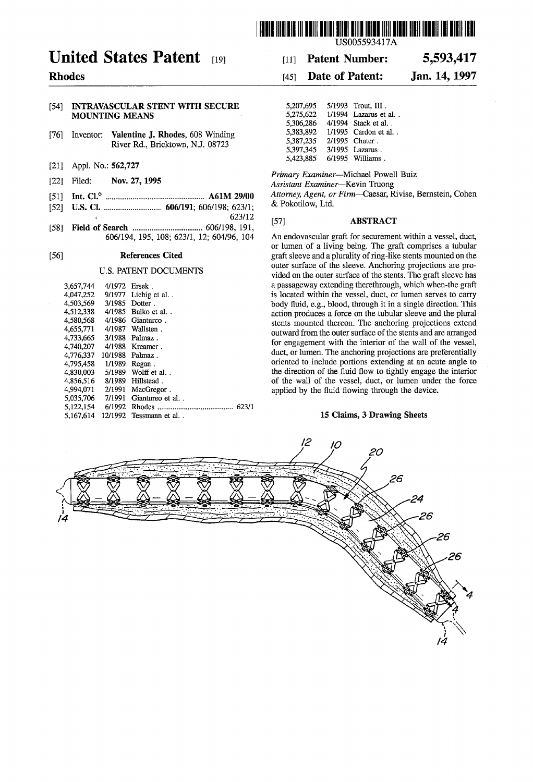

# United States Patent [19]

## Rhodes

### [54] INTRAVASCULAR STENT WITH SECURE MOUNTING MEANS

- [76] Inventor: Valentine J. Rhodes, 608 Winding River Rd., Bricktown, NJ. 08723
- $[21]$ Appl. No.: 562,727
- [22] Nov. 27, 1995 Filed:
- [51] Int. Cl.6 .................................................. .. A61M 29/00
- [52] U.S. Cl. ............................ .. 606/191; 606/198; 623/1; 623/12
- [58] Field of Search ................................... .. 606/198, 191, 606/194, 195, 108; 623/1, 12; 604/96, 104

#### [56] References Cited

### U.S. PATENT DOCUMENTS

| 3.657.744 | 4/1972  | Ersek.          |
|-----------|---------|-----------------|
| 4,047,252 | 9/1977  | Liebig et al    |
| 4.503.569 | 3/1985  | Dotter.         |
| 4.512.338 | 4/1985  | Balko et al     |
| 4.580.568 | 4/1986  | Gianturco.      |
| 4,655,771 | 4/1987  | Wallsten.       |
| 4,733,665 | 3/1988  | Palmaz.         |
| 4,740,207 | 4/1988  | Kreamer.        |
| 4,776,337 | 10/1988 | Palmaz.         |
| 4.795.458 | 1/1989  | Regan.          |
| 4.830.003 | 5/1989  | Wolff et al     |
| 4.856.516 | 8/1989  | Hillstead.      |
| 4,994,071 | 2/1991  | MacGregor.      |
| 5,035,706 | 7/1991  | Giantureo et al |
| 5.122,154 | 6/1992  | 623/1           |
| 5.167.614 | 12/1992 | Tessmann et al  |
|           |         |                 |

#### Patent Number: 5,593,417 [11]

#### Jan. 14, 1997 [45] **Date of Patent:**

| 5.207.695 | 5/1993 Trout, III.      |
|-----------|-------------------------|
| 5,275,622 | 1/1994 Lazarus et al. . |
| 5.306.286 | 4/1994 Stack et al. .   |
| 5.383.892 | 1/1995 Cardon et al. .  |
| 5.387.235 | 2/1995 Chuter.          |
| 5.397.345 | 3/1995 Lazarus.         |
| 5.423.885 | 6/1995 Williams.        |
|           |                         |

Primary Examiner—Michael Powell Buiz

Assistant Examiner-Kevin Truong

Attorney, Agent, or Firm—Caesar, Rivise, Bernstein, Cohen & Pokotilow, Ltd.

#### [57] ABSTRACT

An endovascular graft for securement within a vessel, duct, or lumen of a living being. The graft comprises a tubular graft sleeve and a plurality of ring-like stents mounted on the outer surface of the sleeve. Anchoring projections are pro vided on the outer surface of the stents. The graft sleeve has a passageway extending therethrough, which when-the graft is located within the vessel, duct, or lumen serves to carry body fluid, e.g., blood, through it in a single direction. This action produces a force on the tubular sleeve and the plural stents mounted thereon. The anchoring projections extend outward from the outer surface of the stents and are arranged for engagement with the interior of the wall of the vessel, duct, or lumen. The anchoring projections are preferentially oriented to include portions extending at an acute angle to the direction of the fluid flow to tightly engage the interior of the wall of the vessel, duct, or lumen under the force applied by the fluid flowing through the device.

#### 15 Claims, 3 Drawing Sheets

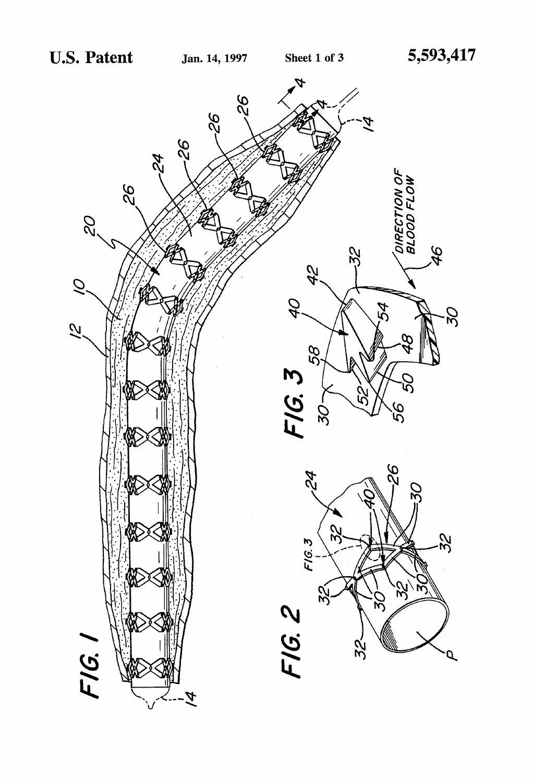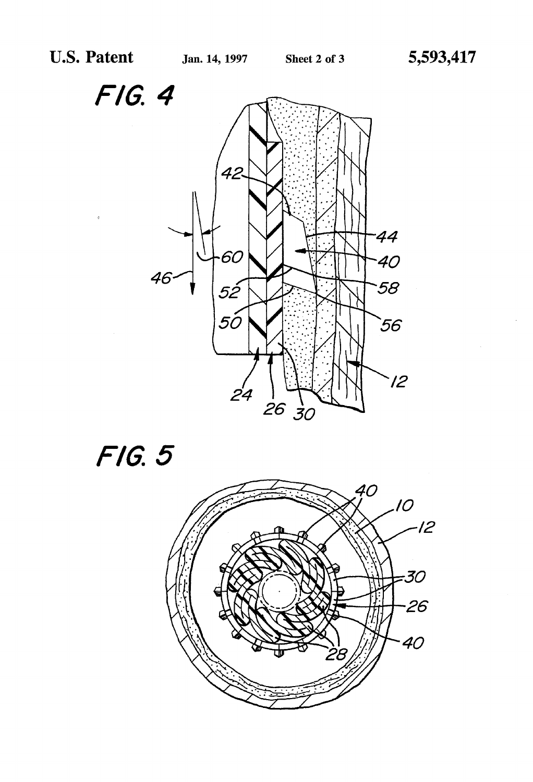FIG. 4





 $\bar{\beta}$ 

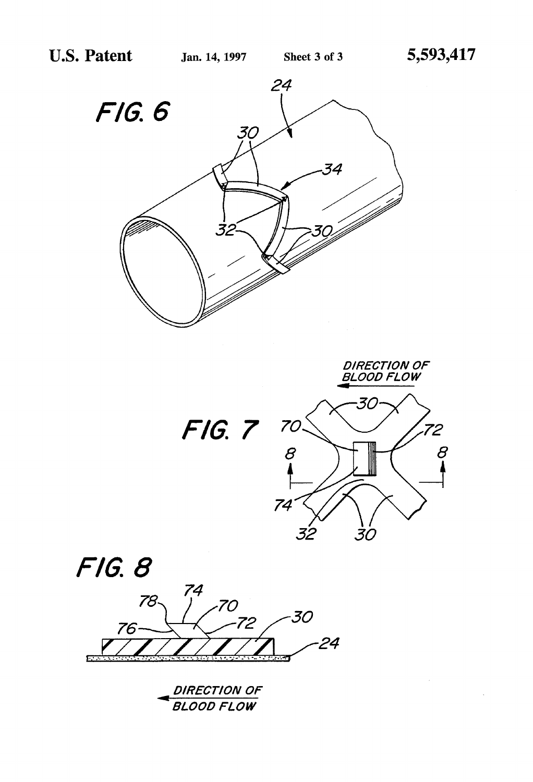$\bar{z}$ 







| DIRECTION OF<br>$\rightarrow$ |
|-------------------------------|
| BLOOD FLOW                    |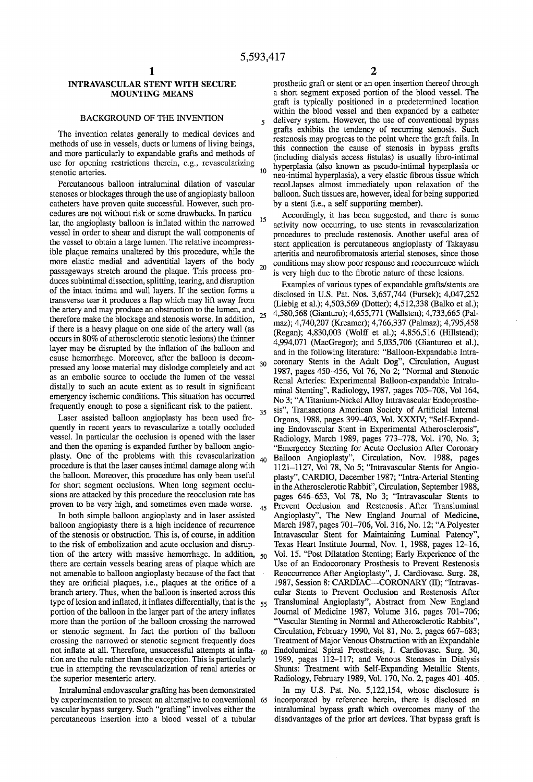$\tilde{\mathbf{z}}$ 

### INTRAVASCULAR STENT WITH SECURE MOUNTING MEANS

### BACKGROUND OF THE INVENTION

The invention relates generally to medical devices and methods of use in vessels, ducts or lumens of living beings, and more particularly to expandable grafts and methods of use for opening restrictions therein, e.g., revascularizing stenotic arteries.

Percutaneous balloon intraluminal dilation of vascular stenoses or blockages through the use of angioplasty balloon catheters have proven quite successful. However, such pro cedures are not without risk or some drawbacks. In particu lar, the angioplasty balloon is inflated within the narrowed  $15$ vessel in order to shear and disrupt the wall components of the vessel to obtain a large lumen. The relative incompress ible plaque remains unaltered by this procedure, while the more elastic medial and adventitial layers of the body<br>necessarily state around the plane. This process are 20 passageways stretch around the plaque. This process pro duces subintimal dissection, splitting, tearing, and disruption of the intact intima and wall layers. If the section forms a transverse tear it produces a flap which may lift away from the artery and may produce an obstruction to the lumen, and therefore make the blockage and stenosis worse. In addition, if there is a heavy plaque on one side of the artery wall (as occurs in 80% of atherosclerotic stenotic lesions) the thinner layer may be disrupted by the inflation of the balloon and cause hemorrhage. Moreover, after the balloon is decom pressed any loose material may dislodge completely and act <sup>30</sup> as an embolic source to occlude the lumen of the vessel distally to such an acute extent as to result in significant emergency ischemic conditions. This situation has occurred frequently enough to pose a significant risk to the patient. 25 35

Laser assisted balloon angioplasty has been used fre quently in recent years to revascularize a totally occluded vessel. In particular the occlusion is opened with the laser and then the opening is expanded further by balloon angio plasty. One of the problems with this revascularization procedure is that the laser causes intimal damage along with the balloon. Moreover, this procedure has only been useful for short segment occlusions. When long segment occlu sions are attacked by this procedure the reocclusion rate has proven to be very high, and sometimes even made worse. 40 45

In both simple balloon angioplasty and in laser assisted balloon angioplasty there is a high incidence of recurrence of the stenosis or obstruction. This is, of course, in addition to the risk of embolization and acute occlusion and disrup tion of the artery with massive hemorrhage. In addition, 50 there are certain vessels bearing areas of plaque which are not amenable to balloon angioplasty because of the fact that they are orificial plaques, i.e., plaques at the orifice of a branch artery. Thus, when the balloon is inserted across this type of lesion and inflated, it inflates differentially, that is the  $\,$   $_{55}$ portion of the balloon in the larger part of the artery inflates more than the portion of the balloon crossing the narrowed or stenotic segment. In fact the portion of the balloon crossing the narrowed or stenotic segment frequently does not inflate at all. Therefore, unsuccessful attempts at infla- <sub>60</sub> tion are the rule rather than the exception. This is particularly true in attempting the revascularization of renal arteries or the superior mesenteric artery.

Intraluminal endovascular grafting has been demonstrated by experimentation to present an alternative to conventional 65 vascular bypass surgery. Such "grafting" involves either the percutaneous insertion into a blood vessel of a tubular

prosthetic graft or stent or an open insertion thereof through a short segment exposed portion of the blood vessel. The graft is typically positioned in a predetermined location within the blood vessel and then expanded by a catheter delivery system. However, the use of conventional bypass grafts exhibits the tendency of recurring stenosis. Such restenosis may progress to the point where the graft fails. In this connection the cause of stenosis in bypass grafts (including dialysis access fistulas) is usually fibro-intimal hyperplasia (also known as pseudo-intimal hyperplasia or neo-intimal hyperplasia), a very elastic fibrous tissue which recoLlapses almost immediately upon relaxation of the balloon. Such tissues are, however, ideal for being supported by a stent (i.e., a self supporting member).

Accordingly, it has been suggested, and there is some activity now occurring, to use stents in revascularization procedures to preclude restenosis. Another useful area of stent application is percutaneous angioplasty of Takayasu arteritis and neurofibromatosis arterial stenoses, since those conditions may show poor response and reoccurrence which is very high due to the fibrotic nature of these lesions.

Examples of various types of expandable grafts/stents are disclosed in U.S. Pat. Nos. 3,657,744 (Fursek); 4,047,252 (Liebig et al.); 4,503,569 (Dotter); 4,512,338 (Balko et al.); 4,580,568 (Gianturo); 4,655,771 (Wallsten); 4,733,665 (Pal maz); 4,740,207 (Kreamer); 4,766,337 (Palmaz); 4,795,458 (Regan); 4,830,003 (Wolff et al.); 4,856,516 (Hillstead); 4,994,071 (MacGregor); and 5,035,706 (Giantureo et al.), and in the following literature: "Balloon-Expandable Intra coronary Stents in the Adult Dog", Circulation, August 1987, pages 450-456, Vol 76, No 2; "Normal and Stenotic Renal Arteries: Experimental Balloon-expandable Intralu minal Stenting", Radiology, 1987, pages 705-708, Vol 164, No 3; "A Titanium-Nickel Alloy Intravascular Endoprosthe sis", Transactions American Society of Artificial Internal Organs, 1988, pages 399-403, Vol. XXXIV; "Self-Expand ing Endovascular Stent in Experimental Atherosclerosis", Radiology, March 1989, pages 773-778, Vol. 170, No. 3; "Emergency Stenting for Acute Occlusion After Coronary Balloon Angioplasty", Circulation, Nov. 1988, pages 1121-1127, Vol 78, No 5; "Intravascular Stents for Angio plasty", CARDIO, December 1987; "Infra-Arterial Stenting in the Atherosclerotic Rabbit", Circulation, September 1988, pages 646-653, Vol 78, No 3; "Intravascular Stents to Prevent Occlusion and Restenosis After Transluminal Angioplasty", The New England Journal of Medicine, March 1987, pages 701-706, Vol. 316, No. 12; "A Polyester Intravascular Stent for Maintaining Lurninal Patency", Texas Heart Institute Journal, Nov. 1, 1988, pages 12-16, Vol. 15. "Post Dilatation Stenting; Early Experience of the Use of an Endocoronary Prosthesis to Prevent Restenosis Reoccurrence After Angioplasty", J. Cardiovasc. Surg. 28, 1987, Session 8: CARDIAC—CORONARY (II); "Intravascular Stents to Prevent Occlusion and Restenosis After Translurninal Angioplasty", Abstract from New England Journal of Medicine 1987, Volume 316, pages 701-706; "Vascular Stenting in Normal and Atherosclerotic Rabbits", Circulation, February 1990, Vol 81, No. 2, pages 667-683; Treatment of Major Venous Obstruction with an Expandable Endoluminal Spiral Prosthesis, J. Cardiovasc. Surg. 30, 1989, pages 112-117; and Venous Stenases in Dialysis Shunts: Treatment with Self-Expanding Metallic Stents, Radiology, February 1989, Vol. 170, No. 2, pages 401-405.

In my U.S. Pat. No. 5,122,154, whose disclosure is incorporated by reference herein, there is disclosed an intralurninal bypass graft which overcomes many of the disadvantages of the prior art devices. That bypass graft is

 $10<sup>10</sup>$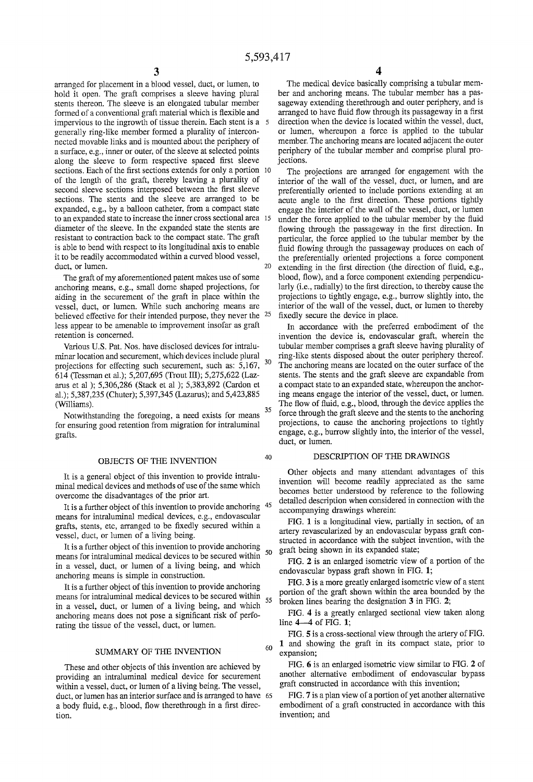40

60

arranged for placement in a blood vessel, duct, or lumen, to hold it open. The graft comprises a sleeve having plural stents thereon. The sleeve is an elongated tubular member formed of a conventional graft material which is flexible and impervious to the ingrowth of tissue therein. Each stent is a 5 generally ring-like member formed a plurality of intercon nected movable links and is mounted about the periphery of a surface, e.g., inner or outer, of the sleeve at selected points along the sleeve to form respective spaced first sleeve sections. Each of the first sections extends for only a portion 10 of the length of the graft, thereby leaving a plurality of second sleeve sections interposed between the first sleeve sections. The stents and the sleeve are arranged to be expanded, e.g., by a balloon catheter, from a compact state to an expanded state to increase the inner cross sectional area 15 diameter of the sleeve. In the expanded state the stents are resistant to contraction back to the compact state. The graft is able to bend with respect to its longitudinal axis to enable it to be readily accommodated within a curved blood vessel, duct, or lumen.  $20$ 

The graft of my aforementioned patent makes use of some anchoring means, e.g., small dome shaped projections, for aiding in the securement of the graft in place within the vessel, duct, or lumen. While such anchoring means are believed effective for their intended purpose, they never the  $25$ less appear to be amenable to improvement insofar as graft retention is concerned.

Various U.S. Pat. Nos. have disclosed devices for intralu minar location and securement, which devices include plural projections for effecting such securement, such as: 5,167, 614 (Tessman et al.); 5,207,695 (Trout HI); 5,275,622 (Laz arus et al ); 5,306,286 (Stack et al ); 5,383,892 (Cardon et al.); 5,387,235 (Chuter); 5,397,345 (Lazarus); and 5,423,885 (Williams). 30 35

Notwithstanding the foregoing, a need exists for means for ensuring good retention from migration for intraluminal grafts.

#### OBJECTS OF THE INVENTION

It is a general object of this invention to provide intralu minal medical devices and methods of use of the same which overcome the disadvantages of the prior art.

It is a further object of this invention to provide anchoring <sup>45</sup> means for intraluminal medical devices, e.g., endovascular grafts, stents, etc, arranged to be fixedly secured within a vessel, duct, or lumen of a living being.

It is a further object of this invention to provide anchoring means for intraluminal medical devices to be secured within in a vessel, duct, or lumen of a living being, and which anchoring means is simple in construction. 50

It is a further object of this invention to provide anchoring means for intraluminal medical devices to be secured within  $_{55}$ in a vessel, duct, or lumen of a living being, and which anchoring means does not pose a significant risk of perforating the tissue of the vessel, duct, or lumen.

#### SUMMARY OF THE INVENTION

These and other objects of this invention are achieved by providing an intraluminal medical device for securement within a vessel, duct, or lumen of a living being. The vessel, duct, or lumen has an interior surface and is arranged to have 65 a body fluid, e.g., blood, flow therethrough in a first direction.

4

The medical device basically comprising a tubular mem ber and anchoring means. The tubular member has a pas sageway extending therethrough and outer periphery, and is arranged to have fluid flow through its passageway in a first direction when the device is located within the vessel, duct, or lumen, whereupon a force is applied to the tubular member. The anchoring means are located adjacent the outer periphery of the tubular member and comprise plural pro jections.

The projections are arranged for engagement with the interior of the wall of the vessel, duct, or lumen, and are preferentially oriented to include portions extending at an acute angle to the first direction. These portions tightly engage the interior of the wall of the vessel, duct, or lumen under the force applied to the tubular member by the fluid flowing through the passageway in the first direction. In particular, the force applied to the tubular member by the fluid flowing through the passageway produces on each of the preferentially oriented projections a force component extending in the first direction (the direction of fluid, e.g., blood, flow), and a force component extending perpendicularly (i.e., radially) to the first direction, to thereby cause the projections to tightly engage, e.g., burrow slightly into, the interior of the wall of the vessel, duct, or lumen to thereby fixedly secure the device in place.

In accordance with the preferred embodiment of the invention the device is, endovascular graft, wherein the tubular member comprises a graft sleeve having plurality of ring-like stents disposed about the outer periphery thereof. The anchoring means are located on the outer surface of the stents. The stents and the graft sleeve are expandable from a compact state to an expanded state, whereupon the anchor ing means engage the interior of the vessel, duct, or lumen. The flow of fluid, e.g., blood, through the device applies the force through the graft sleeve and the stents to the anchoring projections, to cause the anchoring projections to tightly engage, e.g., burrow slightly into, the interior of the vessel, duct, or lumen.

#### DESCRIPTION OF THE DRAWINGS

Other objects and many attendant advantages of this invention will become readily appreciated as the same becomes better understood by reference to the following detailed description when considered in connection with the accompanying drawings wherein:

FIG. 1 is a longitudinal view, partially in section, of an artery revascularized by an endovascular bypass graft con structed in accordance with the subject invention, with the graft being shown in its expanded state;

FIG. 2 is an enlarged isometric view of a portion of the endovascular bypass graft shown in FIG. 1;

FIG. 3 is a more greatly enlarged isometric view of a stent portion of the graft shown within the area bounded by the broken lines bearing the designation 3 in FIG. 2;

FIG. 4 is a greatly enlarged sectional view taken along line  $4-4$  of FIG. 1;

FIG. 5 is a cross-sectional view through the artery of FIG. 1 and showing the graft in its compact state, prior to expansion;

FIG. 6 is an enlarged isometric view similar to FIG. 2 of another alternative embodiment of endovascular bypass graft constructed in accordance with this invention;

FIG. 7 is a plan view of a portion of yet another alternative embodiment of a graft constructed in accordance with this invention; and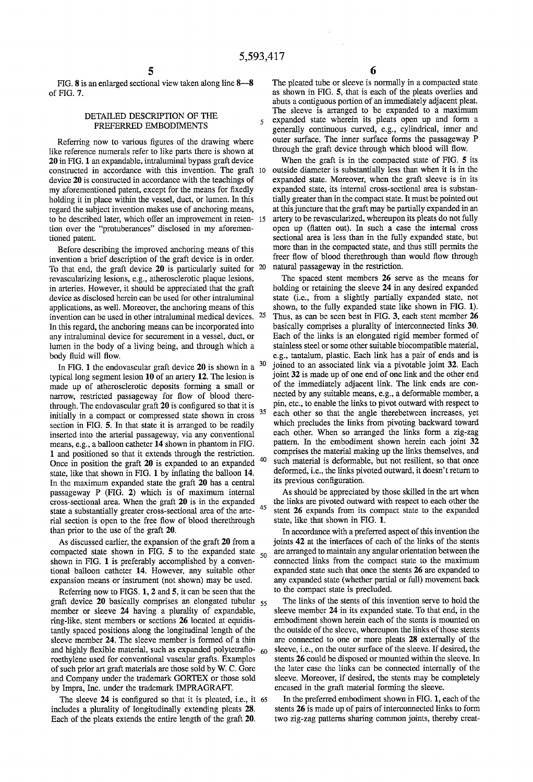$\overline{\mathbf{S}}$ 

50

FIG. 8 is an enlarged sectional view taken along line 8-8 of FIG. 7.

### DETAILED DESCRIPTION OF THE PREFERRED EMBODIMENTS

Referring now to various figures of the drawing where like reference numerals refer to like parts there is shown at 20 in FIG. 1 an expandable, intraluminal bypass graft device constructed in accordance with this invention. The graft device 20 is constructed in accordance with the teachings of my aforementioned patent, except for the means for fixedly holding it in place within the vessel, duct, or lumen. In this regard the subject invention makes use of anchoring means, to be described later, which offer an improvement in reten tion over the "protuberances" disclosed in my aforemen tioned patent.

Before describing the improved anchoring means of this invention a brief description of the graft device is in order. To that end, the graft device 20 is particularly suited for <sup>20</sup> revascularizing lesions, e.g., atherosclerotic plaque lesions, in arteries. However, it should be appreciated that the graft device as disclosed herein can be used for other intraluminal applications, as well. Moreover, the anchoring means of this invention can be used in other intraluminal medical devices. 25 In this regard, the anchoring means can be incorporated into any intraluminal device for securement in a vessel, duct, or lumen in the body of a living being, and through which a body fluid will flow.

In FIG. 1 the endovascular graft device 20 is shown in a  $30$ typical long segment lesion 10 of an artery 12. The lesion is made up of atherosclerotic deposits forming a small or narrow, restricted passageway for flow of blood therethrough. The endovascular graft  $20$  is configured so that it is initially in a compact or compressed state shown in cross section in FIG. 5. In that state it is arranged to be readily inserted into the arterial passageway, via any conventional means, e.g., a balloon catheter 14 shown in phantom in FIG. 1 and positioned so that it extends through the restriction. Once in position the graft 20 is expanded to an expanded <sup>40</sup> state, like that shown in FIG. 1 by inflating the balloon 14. In the maximum expanded state the graft 20 has a central passageway P (FIG. 2) which is of maximum internal cross-sectional area. When the graft 20 is in the expanded state a substantially greater cross-sectional area of the arte rial section is open to the free flow of blood therethrough than prior to the use of the graft 20. 35 45

As discussed earlier, the expansion of the graft 20 from a compacted state shown in FIG. 5 to the expanded state shown in FIG. 1 is preferably accomplished by a conven tional balloon catheter 14. However, any suitable other expansion means or instrument (not shown) may be used.

Referring now to FIGS. 1, 2 and 5, it can be seen that the graft device 20 basically comprises an elongated tubular 55 member or sleeve 24 having a plurality of expandable, ring-like, stent members or sections 26 located at equidis tantly spaced positions along the longitudinal length of the sleeve member 24. The sleeve member is formed of a thin and highly flexible material, such as expanded polytetrafloroethylene used for conventional vascular grafts. Examples of such prior art graft materials are those sold by W. C. Gore and Company under the trademark GORTEX or those sold by Impra, Inc. under the trademark IMPRAGRAFI'. 60

The sleeve  $24$  is configured so that it is pleated, i.e., it 65 includes a plurality of longitudinally extending pleats 28. Each of the pleats extends the entire length of the graft 20.

The pleated tube or sleeve is normally in a compacted state as shown in FIG. 5, that is each of the pleats overlies and abuts a contiguous portion of an immediately adjacent pleat. The sleeve is arranged to be expanded to a maximum expanded state wherein its pleats open up and form a generally continuous curved, e.g., cylindrical, inner and outer surface. The inner surface forms the passageway P through the graft device through which blood will flow.

When the graft is in the compacted state of FIG. 5 its outside diameter is substantially less than when it is in the expanded state. Moreover, when the graft sleeve is in its expanded state, its internal cross-sectional area is substan tially greater than in the compact state. It must be pointed out at this juncture that the graft may be partially expanded in an artery to be revascularized, whereupon its pleats do not fully open up (flatten out). In such a case the internal cross sectional area is less than in the fully expanded state, but more than in the compacted state, and thus still permits the freer flow of blood therethrough than would flow through natural passageway in the restriction.

The spaced stent members 26 serve as the means for holding or retaining the sleeve 24 in any desired expanded state (i.e., from a slightly partially expanded state, not shown, to the fully expanded state like shown in FIG. 1). Thus, as can be seen best in FIG. 3, each stent member 26 basically comprises a plurality of interconnected links 30. Each of the links is an elongated rigid member formed of stainless steel or some other suitable biocompatible material, e.g., tantalum, plastic. Each link has a pair of ends and is joined to an associated link via a pivotable joint 32. Each joint 32 is made up of one end of one link and the other end of the immediately adjacent link. The link ends are con nected by any suitable means, e.g., a deformable member, a pin, etc., to enable the links to pivot outward with respect to each other so that the angle therebetween increases, yet which precludes the links from pivoting backward toward each other. When so arranged the links form a zig-zag pattern. In the embodiment shown herein each joint 32 comprises the material making up the links themselves, and such material is deformable, but not resilient, so that once deformed, i.e., the links pivoted outward, it doesn't return to its previous configuration.

As should be appreciated by those skilled in the art when the links are pivoted outward with respect to each other the stent 26 expands from its compact state to the expanded state, like that shown in FIG. 1.

In accordance with a preferred aspect of this invention the joints 42 at the interfaces of each of the links of the stents are arranged to maintain any angular orientation between the connected links from the compact state to the maximum expanded state such that once the stents 26 are expanded to any expanded state (whether partial or full) movement back to the compact state is precluded.

The links of the stents of this invention serve to hold the sleeve member 24 in its expanded state. To that end, in the embodiment shown herein each of the stents is mounted on the outside of the sleeve, whereupon the links of those stents are connected to one or more pleats 28 externally of the sleeve, i.e., on the outer surface of the sleeve. If desired, the stents 26 could be disposed or mounted within the sleeve. In the later case the links can be connected internally of the sleeve. Moreover, if desired, the stents may be completely encased in the graft material forming the sleeve.

In the preferred embodiment shown in FIG. 1, each of the stents 26 is made up of pairs of interconnected links to form two zig-zag patterns sharing common joints, thereby creat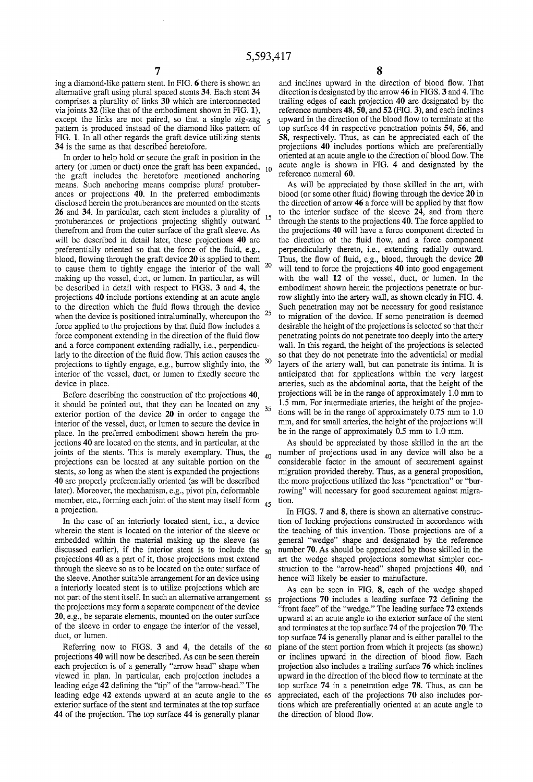$\mathbf{c}$ 

ing a diamond-like pattern stent. In FIG. 6 there is shown an alternative graft using plural spaced stents 34. Each stent 34 comprises a plurality of links 30 which are interconnected via joints 32 (like that of the embodiment shown in FIG. 1), except the links are not paired, so that a single zig-zag pattern is produced instead of the diamond-like pattern of FIG. 1. In all other regards the graft device utilizing stents 34 is the same as that described heretofore.

In order to help hold or secure the graft in position in the artery (or lumen or duct) once the graft has been expanded,  $_{10}$  the graft includes the heretofore mentioned anchoring means. Such anchoring means comprise plural protuberances or projections 40. In the preferred embodiments disclosed herein the protuberances are mounted on the stents 26 and 34. In particular, each stent includes a plurality of protuberances or projections projecting slightly outward <sup>15</sup> therefrom and from the outer surface of the graft sleeve. As will be described in detail later, these projections 40 are preferentially oriented so that the force of the fluid, e.g., blood, flowing through the graft device 20 is applied to them to cause them to tightly engage the interior of the wall  $20$ making up the vessel, duct, or lumen. In particular, as will be described in detail with respect to FIGS. 3 and 4, the projections 40 include portions extending at an acute angle to the direction which the fluid flows through the device when the device is positioned intraluminally, whereupon the  $25$ force applied to the projections by that fluid flow includes a force component extending in the direction of the fluid flow and a force component extending radially, i.e., perpendicu larly to the direction of the fluid flow. This action causes the projections to tightly engage, e.g., burrow slightly into, the interior of the vessel, duct, or lumen to fixedly secure the device in place.

Before describing the construction of the projections 40, It should be pointed out, that they can be located on any  $\frac{35}{15}$ exterior portion of the device 20 in order to engage the interior of the vessel, duct, or lumen to secure the device in place. In the preferred embodiment shown herein the pro jections 40 are located on the stents, and in particular, at the joints of the stents. This is merely exemplary. Thus, the  $_{40}$ projections can be located at any suitable portion on the stents, so long as when the stent is expanded the projections 40 are properly preferentially oriented (as will be described later). Moreover, the mechanism, e.g., pivot pin, deformable member, etc., forming each joint of the stent may itself form  $_{45}$ a projection.

In the case of an interiorly located stent, i.e., a device wherein the stent is located on the interior of the sleeve or embedded within the material making up the sleeve (as discussed earlier), if the interior stent is to include the  $_{50}$ projections 40 as a part of it, those projections must extend through the sleeve so as to be located on the outer surface of the sleeve. Another suitable arrangement for an device using a interiorly located stent is to utilize projections which are not part of the stent itself. In such an alternative arrangement 55 the projections may form a separate component of the device 20, e.g., be separate elements, mounted on the outer surface of the sleeve in order to engage the interior of the vessel, duct, or lumen.

Referring now to FIGS. 3 and 4, the details of the 60 projections 40 will now be described. As can be seen therein each projection is of a generally "arrow head" shape when viewed in plan. In particular, each projection includes a leading edge 42 defining the "tip" of the "arrow-head." The leading edge 42 extends upward at an acute angle to the 65 exterior surface of the stent and terminates at the top surface 44 of the projection. The top surface 44 is generally planar

and inclines upward in the direction of blood flow. That direction is designated by the arrow 46 in FIGS. 3 and 4. The trailing edges of each projection 40 are designated by the reference numbers 48, 50, and 52 (FIG. 3), and each inclines upward in the direction of the blood flow to terminate at the top surface 44 in respective penetration points 54, 56, and 58, respectively. Thus, as can be appreciated each of the projections 40 includes portions which are preferentially oriented at an acute angle to the direction of blood flow. The acute angle is shown in FIG. 4 and designated by the reference numeral 60.

As will be appreciated by those skilled in the art, with blood (or some other fluid) flowing through the device  $20$  in the direction of arrow  $46$  a force will be applied by that flow to the interior surface of the sleeve 24, and from there through the stents to the projections 40. The force applied to the projections 40 will have a force component directed in the direction of the fluid flow, and a force component perpendicularly thereto, i.e., extending radially outward. Thus, the flow of fluid, e.g., blood, through the device  $20$ will tend to force the projections 40 into good engagement with the wall 12 of the vessel, duct, or lumen. In the embodiment shown herein the projections penetrate or bur row slightly into the artery wall, as shown clearly in FIG. 4. Such penetration may not be necessary for good resistance to migration of the device. If some penetration is deemed desirable the height of the projections is selected so that their penetrating points do not penetrate too deeply into the artery wall. In this regard, the height of the projections is selected so that they do not penetrate into the adventicial or medial layers of the artery wall, but can penetrate its intima. It is anticipated that for applications within the very largest arteries, such as the abdominal aorta, that the height of the projections will be in the range of approximately 1.0 mm to 1.5 mm. For intermediate arteries, the height of the projec tions will be in the range of approximately 0.75 mm to 1.0 mm, and for small arteries, the height of the projections will be in the range of approximately 0.5 mm to 1.0 mm.

As should be appreciated by those skilled in the art the number of projections used in any device will also be a considerable factor in the amount of securement against migration provided thereby. Thus, as a general proposition, the more projections utilized the less "penetration" or "bur rowing" will necessary for good securement against migra tion.

In FIGS. 7 and 8, there is shown an alternative construction of locking projections constructed in accordance with the teaching of this invention. Those projections are of a general "wedge" shape and designated by the reference number 70. As should be appreciated by those skilled in the art the wedge shaped projections somewhat simpler con struction to the "arrow-head" shaped projections 40, and ' hence will likely be easier to manufacture.

As can be seen in FIG. 8, each of the wedge shaped projections  $70$  includes a leading surface  $72$  defining the "front face" of the "wedge." The leading surface 72 extends upward at an acute angle to the exterior surface of the stent and terminates at the top surface 74 of the projection 70. The top surface 74 is generally planar and is either parallel to the plane of the stent portion from which it projects (as shown) or inclines upward in the direction of blood flow. Each projection also includes a trailing surface 76 which inclines upward in the direction of the blood flow to terminate at the top surface 74 in a penetration edge 78. Thus, as can be appreciated, each of the projections 70 also includes por tions which are preferentially oriented at an acute angle to the direction of blood flow.